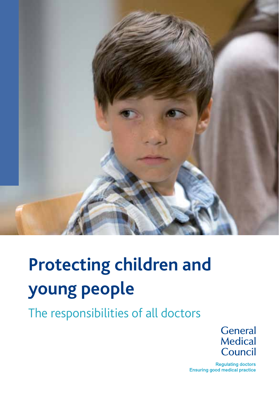

# **Protecting children and young people**

The responsibilities of all doctors

General **Medical** Council

**Regulating doctors Ensuring good medical practice**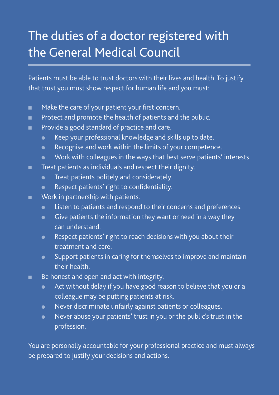# The duties of a doctor registered with the General Medical Council

Patients must be able to trust doctors with their lives and health. To justify that trust you must show respect for human life and you must:

- $\blacksquare$  Make the care of your patient your first concern.
- **n** Protect and promote the health of patients and the public.
- **n** Provide a good standard of practice and care.
	- **EXECT** Keep your professional knowledge and skills up to date.
	- **•** Recognise and work within the limits of your competence.
	- <sup>l</sup> Work with colleagues in the ways that best serve patients' interests.
- **n** Treat patients as individuals and respect their dignity.
	- **•** Treat patients politely and considerately.
	- **•** Respect patients' right to confidentiality.
- $\blacksquare$  Work in partnership with patients.
	- **Izmer 2** Listen to patients and respond to their concerns and preferences.
	- $\bullet$  Give patients the information they want or need in a way they can understand.
	- Respect patients' right to reach decisions with you about their treatment and care.
	- **In Support patients in caring for themselves to improve and maintain** their health.
- Be honest and open and act with integrity.
	- $\bullet$  Act without delay if you have good reason to believe that you or a colleague may be putting patients at risk.
	- **In Never discriminate unfairly against patients or colleagues.**
	- Never abuse your patients' trust in you or the public's trust in the profession.

You are personally accountable for your professional practice and must always be prepared to justify your decisions and actions.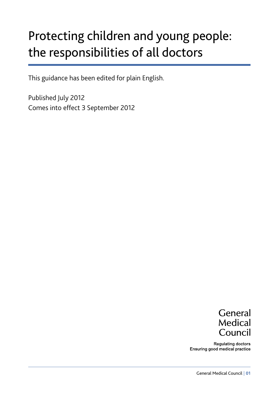# Protecting children and young people: the responsibilities of all doctors

This guidance has been edited for plain English.

Published July 2012 Comes into effect 3 September 2012



Regulating doctors Ensuring good medical practice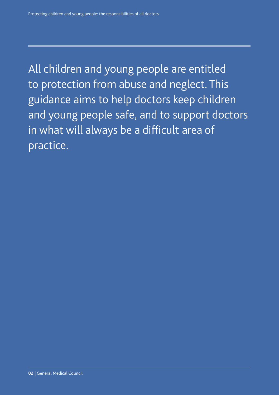All children and young people are entitled to protection from abuse and neglect. This guidance aims to help doctors keep children and young people safe, and to support doctors in what will always be a difficult area of practice.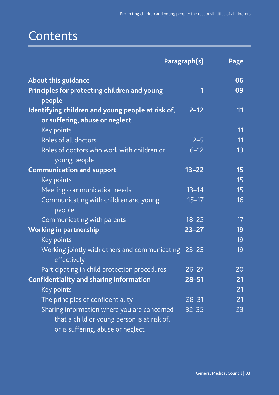### Contents

| Paragraph(s)                                                                     |           | Page |
|----------------------------------------------------------------------------------|-----------|------|
| <b>About this guidance</b>                                                       |           | 06   |
| Principles for protecting children and young<br>people                           | 1         | 09   |
| Identifying children and young people at risk of,                                | $2 - 12$  | 11   |
| or suffering, abuse or neglect                                                   |           |      |
| Key points                                                                       |           | 11   |
| Roles of all doctors                                                             | $2 - 5$   | 11   |
| Roles of doctors who work with children or                                       | $6 - 12$  | 13   |
| young people                                                                     |           |      |
| <b>Communication and support</b>                                                 | $13 - 22$ | 15   |
| Key points                                                                       |           | 15   |
| Meeting communication needs                                                      | $13 - 14$ | 15   |
| Communicating with children and young<br>people                                  | $15 - 17$ | 16   |
| Communicating with parents                                                       | $18 - 22$ | 17   |
| <b>Working in partnership</b>                                                    | $23 - 27$ | 19   |
| Key points                                                                       |           | 19   |
| Working jointly with others and communicating<br>effectively                     | $23 - 25$ | 19   |
| Participating in child protection procedures                                     | $26 - 27$ | 20   |
| <b>Confidentiality and sharing information</b>                                   | $28 - 51$ | 21   |
| Key points                                                                       |           | 21   |
| The principles of confidentiality                                                | $28 - 31$ | 21   |
| Sharing information where you are concerned                                      | $32 - 35$ | 23   |
| that a child or young person is at risk of,<br>or is suffering, abuse or neglect |           |      |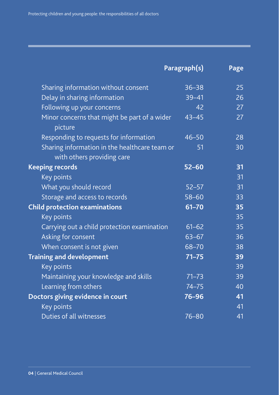| Paragraph(s)                                                                |           | Page |
|-----------------------------------------------------------------------------|-----------|------|
| Sharing information without consent                                         | $36 - 38$ | 25   |
| Delay in sharing information                                                | $39 - 41$ | 26   |
| Following up your concerns                                                  | 42        | 27   |
| Minor concerns that might be part of a wider<br>picture                     | $43 - 45$ | 27   |
| Responding to requests for information                                      | $46 - 50$ | 28   |
| Sharing information in the healthcare team or<br>with others providing care | 51        | 30   |
| <b>Keeping records</b>                                                      | $52 - 60$ | 31   |
| Key points                                                                  |           | 31   |
| What you should record                                                      | $52 - 57$ | 31   |
| Storage and access to records                                               | $58 - 60$ | 33   |
| <b>Child protection examinations</b>                                        | $61 - 70$ | 35   |
| Key points                                                                  |           | 35   |
| Carrying out a child protection examination                                 | $61 - 62$ | 35   |
| Asking for consent                                                          | $63 - 67$ | 36   |
| When consent is not given                                                   | 68-70     | 38   |
| <b>Training and development</b>                                             | $71 - 75$ | 39   |
| Key points                                                                  |           | 39   |
| Maintaining your knowledge and skills                                       | $71 - 73$ | 39   |
| Learning from others                                                        | $74 - 75$ | 40   |
| Doctors giving evidence in court                                            | 76-96     | 41   |
| Key points                                                                  |           | 41   |
| Duties of all witnesses                                                     | $76 - 80$ | 41   |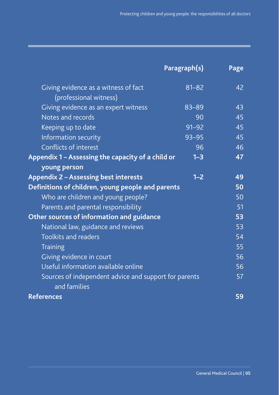|                                                                       | Paragraph(s) | Page |
|-----------------------------------------------------------------------|--------------|------|
| Giving evidence as a witness of fact<br>(professional witness)        | $81 - 82$    | 42   |
| Giving evidence as an expert witness                                  | $83 - 89$    | 43   |
| Notes and records                                                     | 90           | 45   |
| Keeping up to date                                                    | $91 - 92$    | 45   |
| Information security                                                  | $93 - 95$    | 45   |
| <b>Conflicts of interest</b>                                          | 96           | 46   |
| Appendix 1 - Assessing the capacity of a child or                     | $1 - 3$      | 47   |
| young person                                                          |              |      |
| <b>Appendix 2 - Assessing best interests</b>                          | $1 - 2$      | 49   |
| Definitions of children, young people and parents                     |              | 50   |
| Who are children and young people?                                    |              | 50   |
| Parents and parental responsibility                                   |              | 51   |
| Other sources of information and guidance                             |              | 53   |
| National law, guidance and reviews                                    |              | 53   |
| <b>Toolkits and readers</b>                                           |              | 54   |
| <b>Training</b>                                                       |              | 55   |
| Giving evidence in court                                              |              | 56   |
| Useful information available online                                   |              | 56   |
| Sources of independent advice and support for parents<br>and families |              | 57   |
| <b>References</b>                                                     |              | 59   |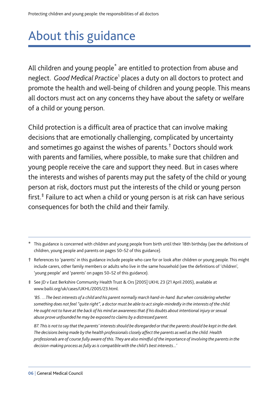# About this guidance

All children and young people<sup>\*</sup> are entitled to protection from abuse and neglect. *Good Medical Practice* places a duty on all doctors to protect and promote the health and well-being of children and young people. This means all doctors must act on any concerns they have about the safety or welfare of a child or young person.

Child protection is a difficult area of practice that can involve making decisions that are emotionally challenging, complicated by uncertainty and sometimes go against the wishes of parents.† Doctors should work with parents and families, where possible, to make sure that children and young people receive the care and support they need. But in cases where the interests and wishes of parents may put the safety of the child or young person at risk, doctors must put the interests of the child or young person first. $<sup>‡</sup>$  Failure to act when a child or young person is at risk can have serious</sup> consequences for both the child and their family.

‡ See JD v East Berkshire Community Health Trust & Ors [2005] UKHL 23 (21 April 2005), available at www.bailii.org/uk/cases/UKHL/2005/23.html.

*'85. …The best interests of a child and his parent normally march hand-in-hand. But when considering whether something does not feel "quite right", a doctor must be able to act single-mindedly in the interests of the child. He ought not to have at the back of his mind an awareness that if his doubts about intentional injury or sexual abuse prove unfounded he may be exposed to claims by a distressed parent.* 

*87. This is not to say that the parents' interests should be disregarded or that the parents should be kept in the dark. The decisions being made by the health professionals closely affect the parents as well as the child. Health professionals are of course fully aware of this. They are also mindful of the importance of involving the parents in the decision-making process as fully as is compatible with the child's best interests...'*

<sup>\*</sup> This guidance is concerned with children and young people from birth until their 18th birthday (see the definitions of children, young people and parents on pages 50–52 of this guidance).

<sup>†</sup> References to 'parents' in this guidance include people who care for or look after children or young people. This might include carers, other family members or adults who live in the same household (see the definitions of 'children', 'young people' and 'parents' on pages 50–52 of this guidance).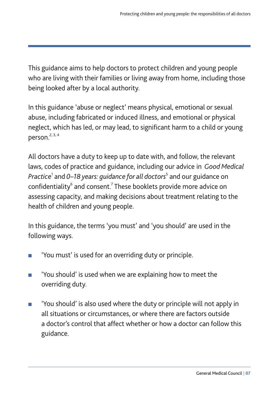This guidance aims to help doctors to protect children and young people who are living with their families or living away from home, including those being looked after by a local authority.

In this guidance 'abuse or neglect' means physical, emotional or sexual abuse, including fabricated or induced illness, and emotional or physical neglect, which has led, or may lead, to significant harm to a child or young person.<sup>2, 3, 4</sup>

All doctors have a duty to keep up to date with, and follow, the relevant laws, codes of practice and guidance, including our advice in *Good Medical Practice*<sup>1</sup> and *0–18 years: guidance for all doctors*<sup>5</sup> and our guidance on confidentiality $^6$  and consent.<sup>7</sup> These booklets provide more advice on assessing capacity, and making decisions about treatment relating to the health of children and young people.

In this guidance, the terms 'you must' and 'you should' are used in the following ways.

- 'You must' is used for an overriding duty or principle.
- 'You should' is used when we are explaining how to meet the overriding duty.
- 'You should' is also used where the duty or principle will not apply in all situations or circumstances, or where there are factors outside a doctor's control that affect whether or how a doctor can follow this guidance.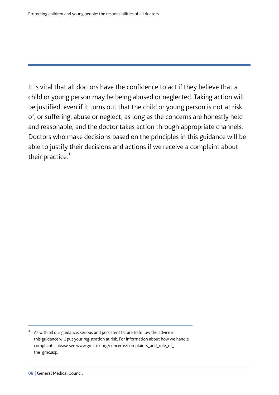It is vital that all doctors have the confidence to act if they believe that a child or young person may be being abused or neglected. Taking action will be justified, even if it turns out that the child or young person is not at risk of, or suffering, abuse or neglect, as long as the concerns are honestly held and reasonable, and the doctor takes action through appropriate channels. Doctors who make decisions based on the principles in this guidance will be able to justify their decisions and actions if we receive a complaint about their practice.<sup>\*</sup>

As with all our guidance, serious and persistent failure to follow the advice in this guidance will put your registration at risk. For information about how we handle complaints, please see www.gmc-uk.org/concerns/complaints\_and\_role\_of\_ the\_gmc.asp.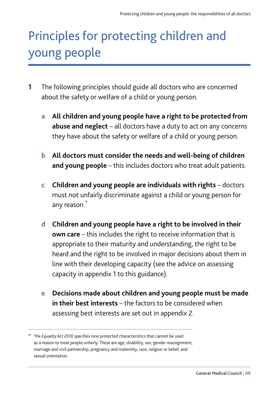# Principles for protecting children and young people

- **1** The following principles should guide all doctors who are concerned about the safety or welfare of a child or young person.
	- **a All children and young people have a right to be protected from abuse and neglect** – all doctors have a duty to act on any concerns they have about the safety or welfare of a child or young person.
	- **b All doctors must consider the needs and well-being of children and young people** – this includes doctors who treat adult patients.
	- **c Children and young people are individuals with rights** doctors must not unfairly discriminate against a child or young person for any reason.<sup>\*</sup>
	- **d Children and young people have a right to be involved in their own care** – this includes the right to receive information that is appropriate to their maturity and understanding, the right to be heard and the right to be involved in major decisions about them in line with their developing capacity (see the advice on assessing capacity in appendix 1 to this guidance).
	- **e Decisions made about children and young people must be made in their best interests** – the factors to be considered when assessing best interests are set out in appendix 2.

The *Equality Act 2010* specifies nine protected characteristics that cannot be used as a reason to treat people unfairly. These are age, disability, sex, gender reassignment, marriage and civil partnership, pregnancy and maternity, race, religion or belief, and sexual orientation.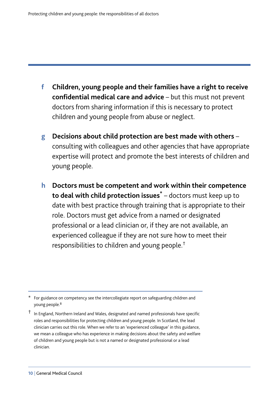- **f Children, young people and their families have a right to receive confidential medical care and advice** – but this must not prevent doctors from sharing information if this is necessary to protect children and young people from abuse or neglect.
- **g Decisions about child protection are best made with others** consulting with colleagues and other agencies that have appropriate expertise will protect and promote the best interests of children and young people.
- **h Doctors must be competent and work within their competence to deal with child protection issues\*** – doctors must keep up to date with best practice through training that is appropriate to their role. Doctors must get advice from a named or designated professional or a lead clinician or, if they are not available, an experienced colleague if they are not sure how to meet their responsibilities to children and young people.†

<sup>\*</sup> For guidance on competency see the intercollegiate report on safeguarding children and young people.8

<sup>†</sup> In England, Northern Ireland and Wales, designated and named professionals have specific roles and responsibilities for protecting children and young people. In Scotland, the lead clinician carries out this role. When we refer to an 'experienced colleague' in this guidance, we mean a colleague who has experience in making decisions about the safety and welfare of children and young people but is not a named or designated professional or a lead clinician.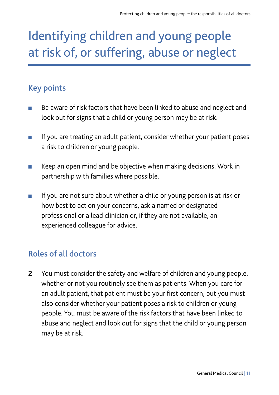# Identifying children and young people at risk of, or suffering, abuse or neglect

#### Key points

- Be aware of risk factors that have been linked to abuse and neglect and look out for signs that a child or young person may be at risk.
- **n** If you are treating an adult patient, consider whether your patient poses a risk to children or young people.
- Keep an open mind and be objective when making decisions. Work in partnership with families where possible.
- **n** If you are not sure about whether a child or young person is at risk or how best to act on your concerns, ask a named or designated professional or a lead clinician or, if they are not available, an experienced colleague for advice.

#### Roles of all doctors

**2** You must consider the safety and welfare of children and young people, whether or not you routinely see them as patients. When you care for an adult patient, that patient must be your first concern, but you must also consider whether your patient poses a risk to children or young people. You must be aware of the risk factors that have been linked to abuse and neglect and look out for signs that the child or young person may be at risk.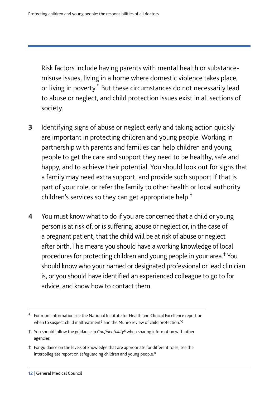Risk factors include having parents with mental health or substancemisuse issues, living in a home where domestic violence takes place, or living in poverty.<sup>\*</sup> But these circumstances do not necessarily lead to abuse or neglect, and child protection issues exist in all sections of society.

- **3** Identifying signs of abuse or neglect early and taking action quickly are important in protecting children and young people. Working in partnership with parents and families can help children and young people to get the care and support they need to be healthy, safe and happy, and to achieve their potential. You should look out for signs that a family may need extra support, and provide such support if that is part of your role, or refer the family to other health or local authority children's services so they can get appropriate help.†
- **4** You must know what to do if you are concerned that a child or young person is at risk of, or is suffering, abuse or neglect or, in the case of a pregnant patient, that the child will be at risk of abuse or neglect after birth. This means you should have a working knowledge of local procedures for protecting children and young people in your area.<sup>‡</sup> You should know who your named or designated professional or lead clinician is, or you should have identified an experienced colleague to go to for advice, and know how to contact them.

- † You should follow the guidance in *Confidentiality*6 when sharing information with other agencies.
- ‡ For guidance on the levels of knowledge that are appropriate for different roles, see the intercollegiate report on safeguarding children and young people.<sup>8</sup>

For more information see the National Institute for Health and Clinical Excellence report on when to suspect child maltreatment<sup>9</sup> and the Munro review of child protection.<sup>10</sup>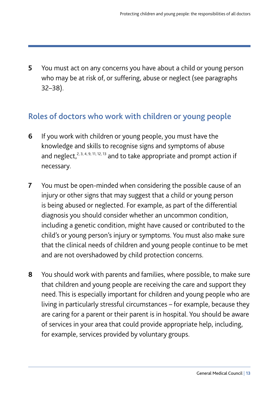**5** You must act on any concerns you have about a child or young person who may be at risk of, or suffering, abuse or neglect (see paragraphs 32–38).

#### Roles of doctors who work with children or young people

- **6** If you work with children or young people, you must have the knowledge and skills to recognise signs and symptoms of abuse and neglect,<sup>2, 3, 4, 9, 11, 12, 13</sup> and to take appropriate and prompt action if necessary.
- **7** You must be open-minded when considering the possible cause of an injury or other signs that may suggest that a child or young person is being abused or neglected. For example, as part of the differential diagnosis you should consider whether an uncommon condition, including a genetic condition, might have caused or contributed to the child's or young person's injury or symptoms. You must also make sure that the clinical needs of children and young people continue to be met and are not overshadowed by child protection concerns.
- **8** You should work with parents and families, where possible, to make sure that children and young people are receiving the care and support they need. This is especially important for children and young people who are living in particularly stressful circumstances – for example, because they are caring for a parent or their parent is in hospital. You should be aware of services in your area that could provide appropriate help, including, for example, services provided by voluntary groups.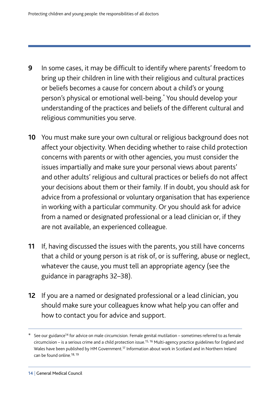- **9** In some cases, it may be difficult to identify where parents' freedom to bring up their children in line with their religious and cultural practices or beliefs becomes a cause for concern about a child's or young person's physical or emotional well-being.\* You should develop your understanding of the practices and beliefs of the different cultural and religious communities you serve.
- **10** You must make sure your own cultural or religious background does not affect your objectivity. When deciding whether to raise child protection concerns with parents or with other agencies, you must consider the issues impartially and make sure your personal views about parents' and other adults' religious and cultural practices or beliefs do not affect your decisions about them or their family. If in doubt, you should ask for advice from a professional or voluntary organisation that has experience in working with a particular community. Or you should ask for advice from a named or designated professional or a lead clinician or, if they are not available, an experienced colleague.
- **11** If, having discussed the issues with the parents, you still have concerns that a child or young person is at risk of, or is suffering, abuse or neglect, whatever the cause, you must tell an appropriate agency (see the guidance in paragraphs 32–38).
- **12** If you are a named or designated professional or a lead clinician, you should make sure your colleagues know what help you can offer and how to contact you for advice and support.

See our guidance<sup>14</sup> for advice on male circumcision. Female genital mutilation – sometimes referred to as female circumcision – is a serious crime and a child protection issue.15, 16 Multi-agency practice guidelines for England and Wales have been published by HM Government.<sup>17</sup> Information about work in Scotland and in Northern Ireland can be found online.<sup>18, 19</sup>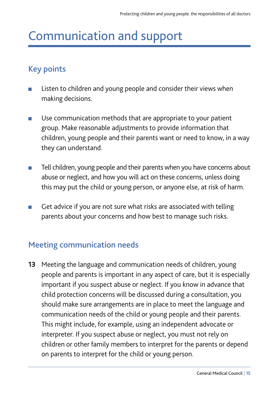### Communication and support

#### Key points

- Listen to children and young people and consider their views when making decisions.
- Use communication methods that are appropriate to your patient group. Make reasonable adjustments to provide information that children, young people and their parents want or need to know, in a way they can understand.
- **n** Tell children, young people and their parents when you have concerns about abuse or neglect, and how you will act on these concerns, unless doing this may put the child or young person, or anyone else, at risk of harm.
- Get advice if you are not sure what risks are associated with telling parents about your concerns and how best to manage such risks.

#### Meeting communication needs

**13** Meeting the language and communication needs of children, young people and parents is important in any aspect of care, but it is especially important if you suspect abuse or neglect. If you know in advance that child protection concerns will be discussed during a consultation, you should make sure arrangements are in place to meet the language and communication needs of the child or young people and their parents. This might include, for example, using an independent advocate or interpreter. If you suspect abuse or neglect, you must not rely on children or other family members to interpret for the parents or depend on parents to interpret for the child or young person.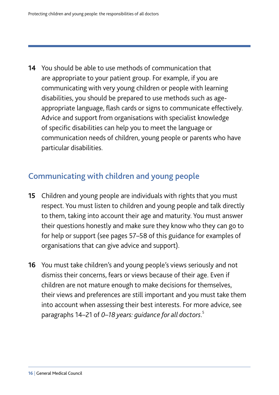**14** You should be able to use methods of communication that are appropriate to your patient group. For example, if you are communicating with very young children or people with learning disabilities, you should be prepared to use methods such as ageappropriate language, flash cards or signs to communicate effectively. Advice and support from organisations with specialist knowledge of specific disabilities can help you to meet the language or communication needs of children, young people or parents who have particular disabilities.

#### Communicating with children and young people

- **15** Children and young people are individuals with rights that you must respect. You must listen to children and young people and talk directly to them, taking into account their age and maturity. You must answer their questions honestly and make sure they know who they can go to for help or support (see pages 57–58 of this guidance for examples of organisations that can give advice and support).
- **16** You must take children's and young people's views seriously and not dismiss their concerns, fears or views because of their age. Even if children are not mature enough to make decisions for themselves, their views and preferences are still important and you must take them into account when assessing their best interests. For more advice, see paragraphs 14–21 of *0–18 years: guidance for all doctors*. 5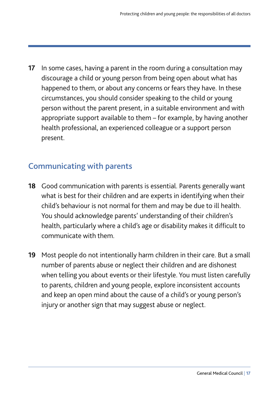**17** In some cases, having a parent in the room during a consultation may discourage a child or young person from being open about what has happened to them, or about any concerns or fears they have. In these circumstances, you should consider speaking to the child or young person without the parent present, in a suitable environment and with appropriate support available to them – for example, by having another health professional, an experienced colleague or a support person present.

#### Communicating with parents

- **18** Good communication with parents is essential. Parents generally want what is best for their children and are experts in identifying when their child's behaviour is not normal for them and may be due to ill health. You should acknowledge parents' understanding of their children's health, particularly where a child's age or disability makes it difficult to communicate with them.
- **19** Most people do not intentionally harm children in their care. But a small number of parents abuse or neglect their children and are dishonest when telling you about events or their lifestyle. You must listen carefully to parents, children and young people, explore inconsistent accounts and keep an open mind about the cause of a child's or young person's injury or another sign that may suggest abuse or neglect.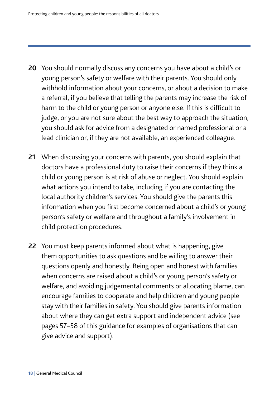- **20** You should normally discuss any concerns you have about a child's or young person's safety or welfare with their parents. You should only withhold information about your concerns, or about a decision to make a referral, if you believe that telling the parents may increase the risk of harm to the child or young person or anyone else. If this is difficult to judge, or you are not sure about the best way to approach the situation, you should ask for advice from a designated or named professional or a lead clinician or, if they are not available, an experienced colleague.
- **21** When discussing your concerns with parents, you should explain that doctors have a professional duty to raise their concerns if they think a child or young person is at risk of abuse or neglect. You should explain what actions you intend to take, including if you are contacting the local authority children's services. You should give the parents this information when you first become concerned about a child's or young person's safety or welfare and throughout a family's involvement in child protection procedures.
- **22** You must keep parents informed about what is happening, give them opportunities to ask questions and be willing to answer their questions openly and honestly. Being open and honest with families when concerns are raised about a child's or young person's safety or welfare, and avoiding judgemental comments or allocating blame, can encourage families to cooperate and help children and young people stay with their families in safety. You should give parents information about where they can get extra support and independent advice (see pages 57–58 of this guidance for examples of organisations that can give advice and support).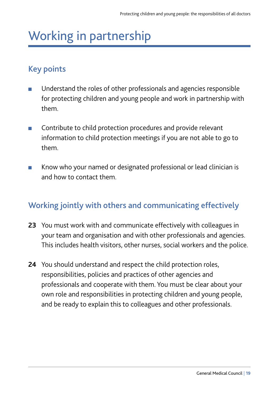# Working in partnership

#### Key points

- **n** Understand the roles of other professionals and agencies responsible for protecting children and young people and work in partnership with them.
- **n** Contribute to child protection procedures and provide relevant information to child protection meetings if you are not able to go to them.
- <sup>n</sup> Know who your named or designated professional or lead clinician is and how to contact them.

#### Working jointly with others and communicating effectively

- **23** You must work with and communicate effectively with colleagues in your team and organisation and with other professionals and agencies. This includes health visitors, other nurses, social workers and the police.
- **24** You should understand and respect the child protection roles, responsibilities, policies and practices of other agencies and professionals and cooperate with them. You must be clear about your own role and responsibilities in protecting children and young people, and be ready to explain this to colleagues and other professionals.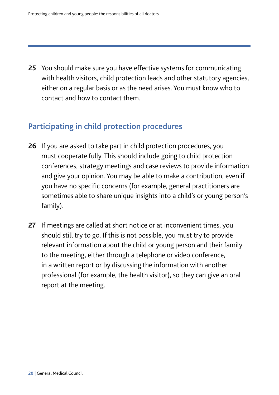**25** You should make sure you have effective systems for communicating with health visitors, child protection leads and other statutory agencies, either on a regular basis or as the need arises. You must know who to contact and how to contact them.

#### Participating in child protection procedures

- **26** If you are asked to take part in child protection procedures, you must cooperate fully. This should include going to child protection conferences, strategy meetings and case reviews to provide information and give your opinion. You may be able to make a contribution, even if you have no specific concerns (for example, general practitioners are sometimes able to share unique insights into a child's or young person's family).
- **27** If meetings are called at short notice or at inconvenient times, you should still try to go. If this is not possible, you must try to provide relevant information about the child or young person and their family to the meeting, either through a telephone or video conference, in a written report or by discussing the information with another professional (for example, the health visitor), so they can give an oral report at the meeting.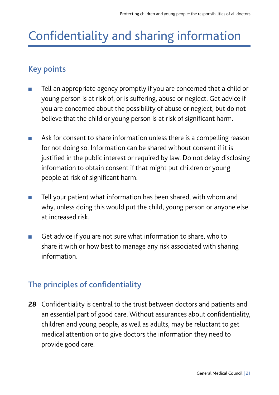# Confidentiality and sharing information

#### Key points

- **n** Tell an appropriate agency promptly if you are concerned that a child or young person is at risk of, or is suffering, abuse or neglect. Get advice if you are concerned about the possibility of abuse or neglect, but do not believe that the child or young person is at risk of significant harm.
- Ask for consent to share information unless there is a compelling reason for not doing so. Information can be shared without consent if it is justified in the public interest or required by law. Do not delay disclosing information to obtain consent if that might put children or young people at risk of significant harm.
- Tell your patient what information has been shared, with whom and why, unless doing this would put the child, young person or anyone else at increased risk.
- Get advice if you are not sure what information to share, who to share it with or how best to manage any risk associated with sharing information.

#### The principles of confidentiality

**28** Confidentiality is central to the trust between doctors and patients and an essential part of good care. Without assurances about confidentiality, children and young people, as well as adults, may be reluctant to get medical attention or to give doctors the information they need to provide good care.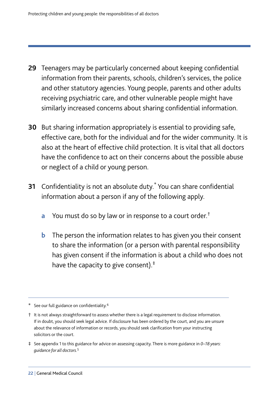- **29** Teenagers may be particularly concerned about keeping confidential information from their parents, schools, children's services, the police and other statutory agencies. Young people, parents and other adults receiving psychiatric care, and other vulnerable people might have similarly increased concerns about sharing confidential information.
- **30** But sharing information appropriately is essential to providing safe, effective care, both for the individual and for the wider community. It is also at the heart of effective child protection. It is vital that all doctors have the confidence to act on their concerns about the possible abuse or neglect of a child or young person.
- **31** Confidentiality is not an absolute duty.<sup>\*</sup> You can share confidential information about a person if any of the following apply.
	- **a** You must do so by law or in response to a court order.†
	- **b** The person the information relates to has given you their consent to share the information (or a person with parental responsibility has given consent if the information is about a child who does not have the capacity to give consent). $\pm$

<sup>\*</sup> See our full guidance on confidentiality*.* 6

<sup>†</sup> It is not always straightforward to assess whether there is a legal requirement to disclose information. If in doubt, you should seek legal advice. If disclosure has been ordered by the court, and you are unsure about the relevance of information or records, you should seek clarification from your instructing solicitors or the court.

<sup>‡</sup> See appendix 1 to this guidance for advice on assessing capacity. There is more guidance in *0–18 years: guidance for all doctors.*5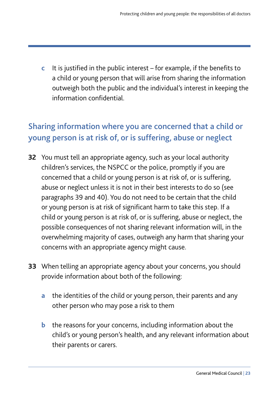**c** It is justified in the public interest – for example, if the benefits to a child or young person that will arise from sharing the information outweigh both the public and the individual's interest in keeping the information confidential.

#### Sharing information where you are concerned that a child or young person is at risk of, or is suffering, abuse or neglect

- **32** You must tell an appropriate agency, such as your local authority children's services, the NSPCC or the police, promptly if you are concerned that a child or young person is at risk of, or is suffering, abuse or neglect unless it is not in their best interests to do so (see paragraphs 39 and 40). You do not need to be certain that the child or young person is at risk of significant harm to take this step. If a child or young person is at risk of, or is suffering, abuse or neglect, the possible consequences of not sharing relevant information will, in the overwhelming majority of cases, outweigh any harm that sharing your concerns with an appropriate agency might cause.
- **33** When telling an appropriate agency about your concerns, you should provide information about both of the following:
	- **a** the identities of the child or young person, their parents and any other person who may pose a risk to them
	- **b** the reasons for your concerns, including information about the child's or young person's health, and any relevant information about their parents or carers.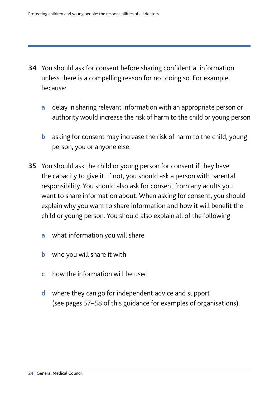- **34** You should ask for consent before sharing confidential information unless there is a compelling reason for not doing so. For example, because:
	- **a** delay in sharing relevant information with an appropriate person or authority would increase the risk of harm to the child or young person
	- **b** asking for consent may increase the risk of harm to the child, young person, you or anyone else.
- **35** You should ask the child or young person for consent if they have the capacity to give it. If not, you should ask a person with parental responsibility. You should also ask for consent from any adults you want to share information about. When asking for consent, you should explain why you want to share information and how it will benefit the child or young person. You should also explain all of the following:
	- **a** what information you will share
	- **b** who you will share it with
	- **c** how the information will be used
	- **d** where they can go for independent advice and support (see pages 57–58 of this guidance for examples of organisations).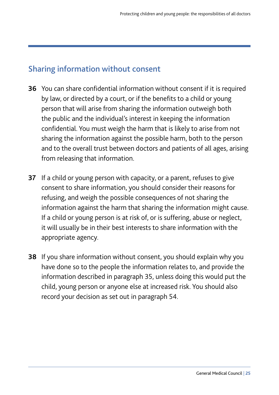#### Sharing information without consent

- **36** You can share confidential information without consent if it is required by law, or directed by a court, or if the benefits to a child or young person that will arise from sharing the information outweigh both the public and the individual's interest in keeping the information confidential. You must weigh the harm that is likely to arise from not sharing the information against the possible harm, both to the person and to the overall trust between doctors and patients of all ages, arising from releasing that information.
- **37** If a child or young person with capacity, or a parent, refuses to give consent to share information, you should consider their reasons for refusing, and weigh the possible consequences of not sharing the information against the harm that sharing the information might cause. If a child or young person is at risk of, or is suffering, abuse or neglect, it will usually be in their best interests to share information with the appropriate agency.
- **38** If you share information without consent, you should explain why you have done so to the people the information relates to, and provide the information described in paragraph 35, unless doing this would put the child, young person or anyone else at increased risk. You should also record your decision as set out in paragraph 54.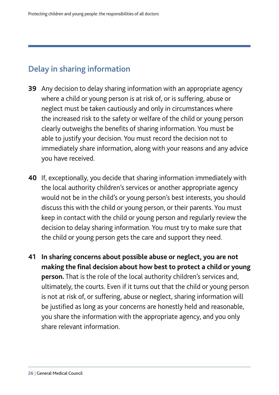#### Delay in sharing information

- **39** Any decision to delay sharing information with an appropriate agency where a child or young person is at risk of, or is suffering, abuse or neglect must be taken cautiously and only in circumstances where the increased risk to the safety or welfare of the child or young person clearly outweighs the benefits of sharing information. You must be able to justify your decision. You must record the decision not to immediately share information, along with your reasons and any advice you have received.
- **40** If, exceptionally, you decide that sharing information immediately with the local authority children's services or another appropriate agency would not be in the child's or young person's best interests, you should discuss this with the child or young person, or their parents. You must keep in contact with the child or young person and regularly review the decision to delay sharing information. You must try to make sure that the child or young person gets the care and support they need.
- **41 In sharing concerns about possible abuse or neglect, you are not making the final decision about how best to protect a child or young person.** That is the role of the local authority children's services and, ultimately, the courts. Even if it turns out that the child or young person is not at risk of, or suffering, abuse or neglect, sharing information will be justified as long as your concerns are honestly held and reasonable, you share the information with the appropriate agency, and you only share relevant information.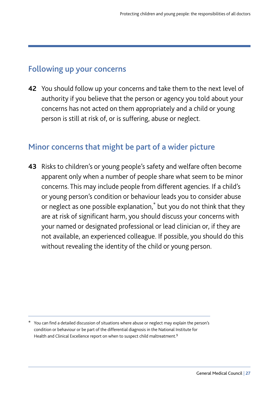#### Following up your concerns

**42** You should follow up your concerns and take them to the next level of authority if you believe that the person or agency you told about your concerns has not acted on them appropriately and a child or young person is still at risk of, or is suffering, abuse or neglect.

#### Minor concerns that might be part of a wider picture

**43** Risks to children's or young people's safety and welfare often become apparent only when a number of people share what seem to be minor concerns. This may include people from different agencies. If a child's or young person's condition or behaviour leads you to consider abuse or neglect as one possible explanation,\* but you do not think that they are at risk of significant harm, you should discuss your concerns with your named or designated professional or lead clinician or, if they are not available, an experienced colleague. If possible, you should do this without revealing the identity of the child or young person.

\* You can find a detailed discussion of situations where abuse or neglect may explain the person's condition or behaviour or be part of the differential diagnosis in the National Institute for Health and Clinical Excellence report on when to suspect child maltreatment.9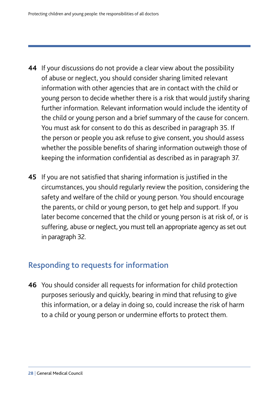- **44** If your discussions do not provide a clear view about the possibility of abuse or neglect, you should consider sharing limited relevant information with other agencies that are in contact with the child or young person to decide whether there is a risk that would justify sharing further information. Relevant information would include the identity of the child or young person and a brief summary of the cause for concern. You must ask for consent to do this as described in paragraph 35. If the person or people you ask refuse to give consent, you should assess whether the possible benefits of sharing information outweigh those of keeping the information confidential as described as in paragraph 37.
- **45** If you are not satisfied that sharing information is justified in the circumstances, you should regularly review the position, considering the safety and welfare of the child or young person. You should encourage the parents, or child or young person, to get help and support. If you later become concerned that the child or young person is at risk of, or is suffering, abuse or neglect, you must tell an appropriate agency as set out in paragraph 32.

#### Responding to requests for information

**46** You should consider all requests for information for child protection purposes seriously and quickly, bearing in mind that refusing to give this information, or a delay in doing so, could increase the risk of harm to a child or young person or undermine efforts to protect them.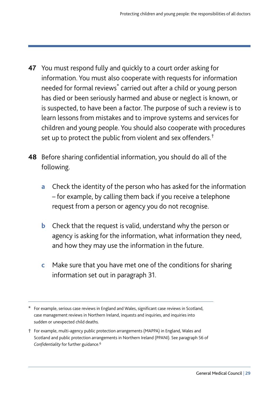- **47** You must respond fully and quickly to a court order asking for information. You must also cooperate with requests for information needed for formal reviews\* carried out after a child or young person has died or been seriously harmed and abuse or neglect is known, or is suspected, to have been a factor. The purpose of such a review is to learn lessons from mistakes and to improve systems and services for children and young people. You should also cooperate with procedures set up to protect the public from violent and sex offenders.<sup>†</sup>
- **48** Before sharing confidential information, you should do all of the following.
	- **a** Check the identity of the person who has asked for the information – for example, by calling them back if you receive a telephone request from a person or agency you do not recognise.
	- **b** Check that the request is valid, understand why the person or agency is asking for the information, what information they need, and how they may use the information in the future.
	- **c** Make sure that you have met one of the conditions for sharing information set out in paragraph 31.

<sup>\*</sup> For example, serious case reviews in England and Wales, significant case reviews in Scotland, case management reviews in Northern Ireland, inquests and inquiries, and inquiries into sudden or unexpected child deaths.

<sup>†</sup> For example, multi-agency public protection arrangements (MAPPA) in England, Wales and Scotland and public protection arrangements in Northern Ireland (PPANI). See paragraph 56 of *Confidentiality* for further guidance.6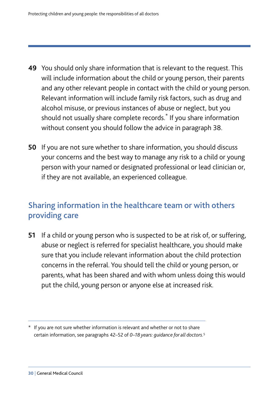- **49** You should only share information that is relevant to the request. This will include information about the child or young person, their parents and any other relevant people in contact with the child or young person. Relevant information will include family risk factors, such as drug and alcohol misuse, or previous instances of abuse or neglect, but you should not usually share complete records.\* If you share information without consent you should follow the advice in paragraph 38.
- **50** If you are not sure whether to share information, you should discuss your concerns and the best way to manage any risk to a child or young person with your named or designated professional or lead clinician or, if they are not available, an experienced colleague.

#### Sharing information in the healthcare team or with others providing care

**51** If a child or young person who is suspected to be at risk of, or suffering, abuse or neglect is referred for specialist healthcare, you should make sure that you include relevant information about the child protection concerns in the referral. You should tell the child or young person, or parents, what has been shared and with whom unless doing this would put the child, young person or anyone else at increased risk.

<sup>\*</sup> If you are not sure whether information is relevant and whether or not to share certain information, see paragraphs 42–52 of *0–18 years: guidance for all doctors.*5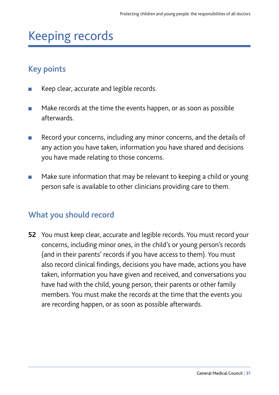# Keeping records

#### Key points

- Keep clear, accurate and legible records.
- Make records at the time the events happen, or as soon as possible afterwards.
- Record your concerns, including any minor concerns, and the details of any action you have taken, information you have shared and decisions you have made relating to those concerns.
- Make sure information that may be relevant to keeping a child or young person safe is available to other clinicians providing care to them.

#### What you should record

**52** You must keep clear, accurate and legible records. You must record your concerns, including minor ones, in the child's or young person's records (and in their parents' records if you have access to them). You must also record clinical findings, decisions you have made, actions you have taken, information you have given and received, and conversations you have had with the child, young person, their parents or other family members. You must make the records at the time that the events you are recording happen, or as soon as possible afterwards.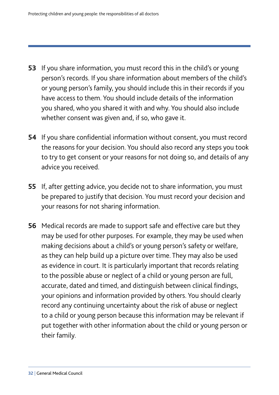- **53** If you share information, you must record this in the child's or young person's records. If you share information about members of the child's or young person's family, you should include this in their records if you have access to them. You should include details of the information you shared, who you shared it with and why. You should also include whether consent was given and, if so, who gave it.
- **54** If you share confidential information without consent, you must record the reasons for your decision. You should also record any steps you took to try to get consent or your reasons for not doing so, and details of any advice you received.
- **55** If, after getting advice, you decide not to share information, you must be prepared to justify that decision. You must record your decision and your reasons for not sharing information.
- **56** Medical records are made to support safe and effective care but they may be used for other purposes. For example, they may be used when making decisions about a child's or young person's safety or welfare, as they can help build up a picture over time. They may also be used as evidence in court. It is particularly important that records relating to the possible abuse or neglect of a child or young person are full, accurate, dated and timed, and distinguish between clinical findings, your opinions and information provided by others. You should clearly record any continuing uncertainty about the risk of abuse or neglect to a child or young person because this information may be relevant if put together with other information about the child or young person or their family.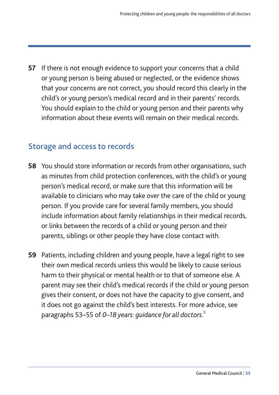**57** If there is not enough evidence to support your concerns that a child or young person is being abused or neglected, or the evidence shows that your concerns are not correct, you should record this clearly in the child's or young person's medical record and in their parents' records. You should explain to the child or young person and their parents why information about these events will remain on their medical records.

#### Storage and access to records

- **58** You should store information or records from other organisations, such as minutes from child protection conferences, with the child's or young person's medical record, or make sure that this information will be available to clinicians who may take over the care of the child or young person. If you provide care for several family members, you should include information about family relationships in their medical records, or links between the records of a child or young person and their parents, siblings or other people they have close contact with.
- **59** Patients, including children and young people, have a legal right to see their own medical records unless this would be likely to cause serious harm to their physical or mental health or to that of someone else. A parent may see their child's medical records if the child or young person gives their consent, or does not have the capacity to give consent, and it does not go against the child's best interests. For more advice, see paragraphs 53–55 of *0–18 years: guidance for all doctors*. 5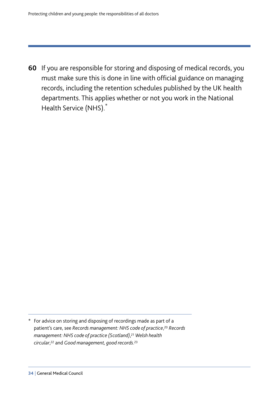**60** If you are responsible for storing and disposing of medical records, you must make sure this is done in line with official guidance on managing records, including the retention schedules published by the UK health departments. This applies whether or not you work in the National Health Service (NHS).\*

<sup>\*</sup> For advice on storing and disposing of recordings made as part of a patient's care, see *Records management: NHS code of practice*, <sup>20</sup> *Records management: NHS code of practice (Scotland)*, <sup>21</sup> *Welsh health circular*, 22 and *Good management, good records*. 23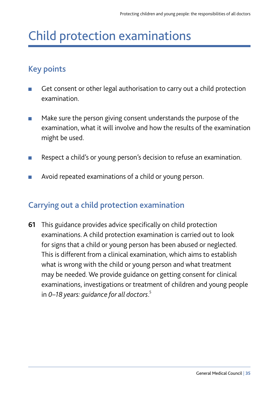### Child protection examinations

#### Key points

- Get consent or other legal authorisation to carry out a child protection examination.
- Make sure the person giving consent understands the purpose of the examination, what it will involve and how the results of the examination might be used.
- **n** Respect a child's or young person's decision to refuse an examination.
- Avoid repeated examinations of a child or young person.

#### Carrying out a child protection examination

**61** This guidance provides advice specifically on child protection examinations. A child protection examination is carried out to look for signs that a child or young person has been abused or neglected. This is different from a clinical examination, which aims to establish what is wrong with the child or young person and what treatment may be needed. We provide guidance on getting consent for clinical examinations, investigations or treatment of children and young people in *0–18 years: guidance for all doctors*. 5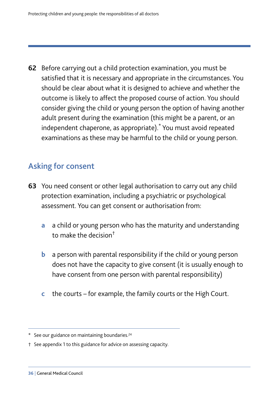**62** Before carrying out a child protection examination, you must be satisfied that it is necessary and appropriate in the circumstances. You should be clear about what it is designed to achieve and whether the outcome is likely to affect the proposed course of action. You should consider giving the child or young person the option of having another adult present during the examination (this might be a parent, or an independent chaperone, as appropriate).\* You must avoid repeated examinations as these may be harmful to the child or young person.

#### Asking for consent

- **63** You need consent or other legal authorisation to carry out any child protection examination, including a psychiatric or psychological assessment. You can get consent or authorisation from:
	- **a** a child or young person who has the maturity and understanding to make the decision†
	- **b** a person with parental responsibility if the child or young person does not have the capacity to give consent (it is usually enough to have consent from one person with parental responsibility)
	- **c** the courts for example, the family courts or the High Court.

<sup>\*</sup> See our guidance on maintaining boundaries.24

<sup>†</sup> See appendix 1 to this guidance for advice on assessing capacity.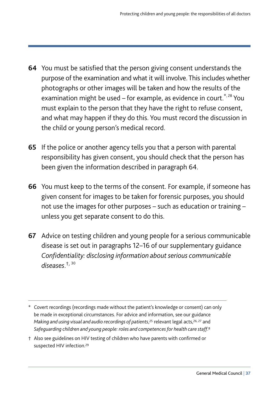- **64** You must be satisfied that the person giving consent understands the purpose of the examination and what it will involve. This includes whether photographs or other images will be taken and how the results of the examination might be used – for example, as evidence in court. $*^{28}$  You must explain to the person that they have the right to refuse consent, and what may happen if they do this. You must record the discussion in the child or young person's medical record.
- **65** If the police or another agency tells you that a person with parental responsibility has given consent, you should check that the person has been given the information described in paragraph 64.
- **66** You must keep to the terms of the consent. For example, if someone has given consent for images to be taken for forensic purposes, you should not use the images for other purposes – such as education or training – unless you get separate consent to do this.
- **67** Advice on testing children and young people for a serious communicable disease is set out in paragraphs 12–16 of our supplementary guidance *Confidentiality: disclosing information about serious communicable diseases*. †, 30

<sup>\*</sup> Covert recordings (recordings made without the patient's knowledge or consent) can only be made in exceptional circumstances. For advice and information, see our guidance Making and using visual and audio recordings of patients,<sup>25</sup> relevant legal acts,<sup>26,27</sup> and *Safeguarding children and young people: roles and competences for health care staff*. 8

<sup>†</sup> Also see guidelines on HIV testing of children who have parents with confirmed or suspected HIV infection.29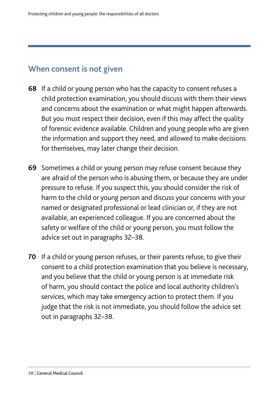#### When consent is not given

- **68** If a child or young person who has the capacity to consent refuses a child protection examination, you should discuss with them their views and concerns about the examination or what might happen afterwards. But you must respect their decision, even if this may affect the quality of forensic evidence available. Children and young people who are given the information and support they need, and allowed to make decisions for themselves, may later change their decision.
- **69** Sometimes a child or young person may refuse consent because they are afraid of the person who is abusing them, or because they are under pressure to refuse. If you suspect this, you should consider the risk of harm to the child or young person and discuss your concerns with your named or designated professional or lead clinician or, if they are not available, an experienced colleague. If you are concerned about the safety or welfare of the child or young person, you must follow the advice set out in paragraphs 32–38.
- **70** If a child or young person refuses, or their parents refuse, to give their consent to a child protection examination that you believe is necessary, and you believe that the child or young person is at immediate risk of harm, you should contact the police and local authority children's services, which may take emergency action to protect them. If you judge that the risk is not immediate, you should follow the advice set out in paragraphs 32–38.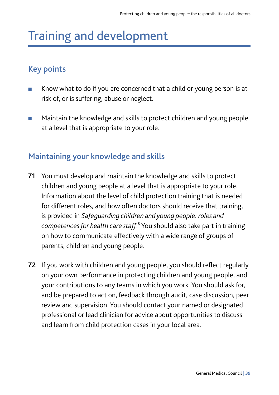### Training and development

#### Key points

- **n** Know what to do if you are concerned that a child or young person is at risk of, or is suffering, abuse or neglect.
- <sup>n</sup> Maintain the knowledge and skills to protect children and young people at a level that is appropriate to your role.

#### Maintaining your knowledge and skills

- **71** You must develop and maintain the knowledge and skills to protect children and young people at a level that is appropriate to your role. Information about the level of child protection training that is needed for different roles, and how often doctors should receive that training, is provided in *Safeguarding children and young people: roles and*  competences for health care staff.<sup>8</sup> You should also take part in training on how to communicate effectively with a wide range of groups of parents, children and young people.
- **72** If you work with children and young people, you should reflect regularly on your own performance in protecting children and young people, and your contributions to any teams in which you work. You should ask for, and be prepared to act on, feedback through audit, case discussion, peer review and supervision. You should contact your named or designated professional or lead clinician for advice about opportunities to discuss and learn from child protection cases in your local area.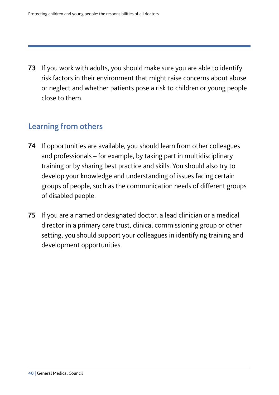**73** If you work with adults, you should make sure you are able to identify risk factors in their environment that might raise concerns about abuse or neglect and whether patients pose a risk to children or young people close to them.

#### Learning from others

- **74** If opportunities are available, you should learn from other colleagues and professionals – for example, by taking part in multidisciplinary training or by sharing best practice and skills. You should also try to develop your knowledge and understanding of issues facing certain groups of people, such as the communication needs of different groups of disabled people.
- **75** If you are a named or designated doctor, a lead clinician or a medical director in a primary care trust, clinical commissioning group or other setting, you should support your colleagues in identifying training and development opportunities.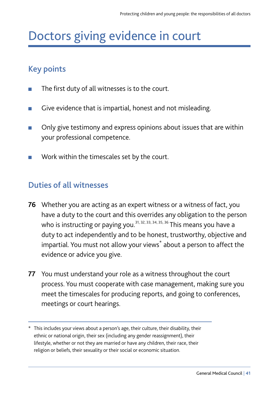# Doctors giving evidence in court

#### Key points

- $\blacksquare$  The first duty of all witnesses is to the court.
- Give evidence that is impartial, honest and not misleading.
- Only give testimony and express opinions about issues that are within your professional competence.
- $\blacksquare$  Work within the timescales set by the court.

#### Duties of all witnesses

- **76** Whether you are acting as an expert witness or a witness of fact, you have a duty to the court and this overrides any obligation to the person who is instructing or paying you.<sup>31, 32, 33, 34, 35, 36</sup> This means you have a duty to act independently and to be honest, trustworthy, objective and impartial. You must not allow your views\* about a person to affect the evidence or advice you give.
- **77** You must understand your role as a witness throughout the court process. You must cooperate with case management, making sure you meet the timescales for producing reports, and going to conferences, meetings or court hearings.

<sup>\*</sup> This includes your views about a person's age, their culture, their disability, their ethnic or national origin, their sex (including any gender reassignment), their lifestyle, whether or not they are married or have any children, their race, their religion or beliefs, their sexuality or their social or economic situation.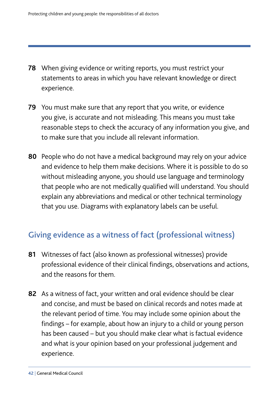- **78** When giving evidence or writing reports, you must restrict your statements to areas in which you have relevant knowledge or direct experience.
- **79** You must make sure that any report that you write, or evidence you give, is accurate and not misleading. This means you must take reasonable steps to check the accuracy of any information you give, and to make sure that you include all relevant information.
- **80** People who do not have a medical background may rely on your advice and evidence to help them make decisions. Where it is possible to do so without misleading anyone, you should use language and terminology that people who are not medically qualified will understand. You should explain any abbreviations and medical or other technical terminology that you use. Diagrams with explanatory labels can be useful.

#### Giving evidence as a witness of fact (professional witness)

- **81** Witnesses of fact (also known as professional witnesses) provide professional evidence of their clinical findings, observations and actions, and the reasons for them.
- **82** As a witness of fact, your written and oral evidence should be clear and concise, and must be based on clinical records and notes made at the relevant period of time. You may include some opinion about the findings – for example, about how an injury to a child or young person has been caused – but you should make clear what is factual evidence and what is your opinion based on your professional judgement and experience.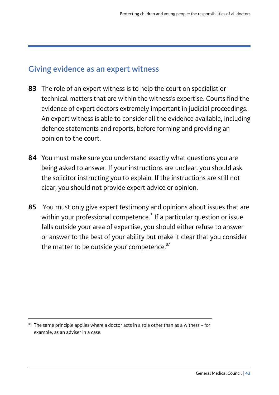#### Giving evidence as an expert witness

- **83** The role of an expert witness is to help the court on specialist or technical matters that are within the witness's expertise. Courts find the evidence of expert doctors extremely important in judicial proceedings. An expert witness is able to consider all the evidence available, including defence statements and reports, before forming and providing an opinion to the court.
- **84** You must make sure you understand exactly what questions you are being asked to answer. If your instructions are unclear, you should ask the solicitor instructing you to explain. If the instructions are still not clear, you should not provide expert advice or opinion.
- **85** You must only give expert testimony and opinions about issues that are within your professional competence.\* If a particular question or issue falls outside your area of expertise, you should either refuse to answer or answer to the best of your ability but make it clear that you consider the matter to be outside your competence.<sup>37</sup>

The same principle applies where a doctor acts in a role other than as a witness – for example, as an adviser in a case.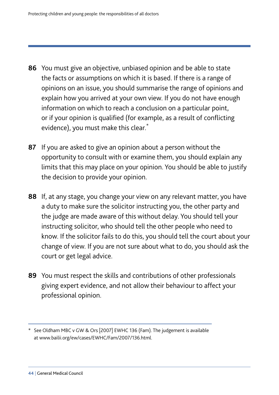- **86** You must give an objective, unbiased opinion and be able to state the facts or assumptions on which it is based. If there is a range of opinions on an issue, you should summarise the range of opinions and explain how you arrived at your own view. If you do not have enough information on which to reach a conclusion on a particular point, or if your opinion is qualified (for example, as a result of conflicting evidence), you must make this clear.<sup>\*</sup>
- **87** If you are asked to give an opinion about a person without the opportunity to consult with or examine them, you should explain any limits that this may place on your opinion. You should be able to justify the decision to provide your opinion.
- **88** If, at any stage, you change your view on any relevant matter, you have a duty to make sure the solicitor instructing you, the other party and the judge are made aware of this without delay. You should tell your instructing solicitor, who should tell the other people who need to know. If the solicitor fails to do this, you should tell the court about your change of view. If you are not sure about what to do, you should ask the court or get legal advice.
- **89** You must respect the skills and contributions of other professionals giving expert evidence, and not allow their behaviour to affect your professional opinion.

<sup>\*</sup> See Oldham MBC v GW & Ors [2007] EWHC 136 (Fam). The judgement is available at www.bailii.org/ew/cases/EWHC/Fam/2007/136.html.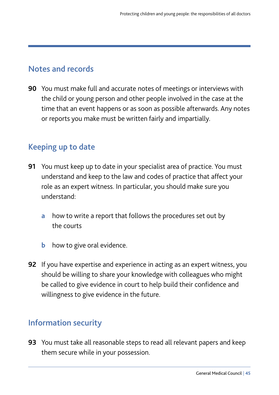#### Notes and records

**90** You must make full and accurate notes of meetings or interviews with the child or young person and other people involved in the case at the time that an event happens or as soon as possible afterwards. Any notes or reports you make must be written fairly and impartially.

#### Keeping up to date

- **91** You must keep up to date in your specialist area of practice. You must understand and keep to the law and codes of practice that affect your role as an expert witness. In particular, you should make sure you understand:
	- **a** how to write a report that follows the procedures set out by the courts
	- **b** how to give oral evidence.
- **92** If you have expertise and experience in acting as an expert witness, you should be willing to share your knowledge with colleagues who might be called to give evidence in court to help build their confidence and willingness to give evidence in the future.

#### Information security

**93** You must take all reasonable steps to read all relevant papers and keep them secure while in your possession.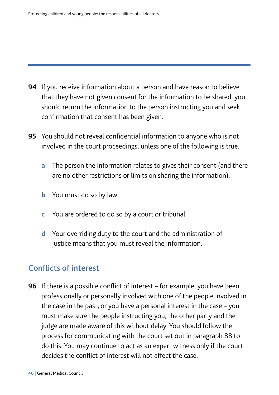- **94** If you receive information about a person and have reason to believe that they have not given consent for the information to be shared, you should return the information to the person instructing you and seek confirmation that consent has been given.
- **95** You should not reveal confidential information to anyone who is not involved in the court proceedings, unless one of the following is true.
	- **a** The person the information relates to gives their consent (and there are no other restrictions or limits on sharing the information).
	- **b** You must do so by law.
	- **c** You are ordered to do so by a court or tribunal.
	- **d** Your overriding duty to the court and the administration of justice means that you must reveal the information.

#### Conflicts of interest

**96** If there is a possible conflict of interest – for example, you have been professionally or personally involved with one of the people involved in the case in the past, or you have a personal interest in the case – you must make sure the people instructing you, the other party and the judge are made aware of this without delay. You should follow the process for communicating with the court set out in paragraph 88 to do this. You may continue to act as an expert witness only if the court decides the conflict of interest will not affect the case.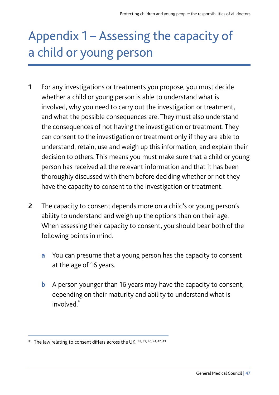# Appendix 1 – Assessing the capacity of a child or young person

- **1** For any investigations or treatments you propose, you must decide whether a child or young person is able to understand what is involved, why you need to carry out the investigation or treatment, and what the possible consequences are. They must also understand the consequences of not having the investigation or treatment. They can consent to the investigation or treatment only if they are able to understand, retain, use and weigh up this information, and explain their decision to others. This means you must make sure that a child or young person has received all the relevant information and that it has been thoroughly discussed with them before deciding whether or not they have the capacity to consent to the investigation or treatment.
- **2** The capacity to consent depends more on a child's or young person's ability to understand and weigh up the options than on their age. When assessing their capacity to consent, you should bear both of the following points in mind.
	- **a** You can presume that a young person has the capacity to consent at the age of 16 years.
	- **b** A person younger than 16 years may have the capacity to consent, depending on their maturity and ability to understand what is involved.\*

<sup>\*</sup> The law relating to consent differs across the UK. 38, 39, 40, 41, 42, 43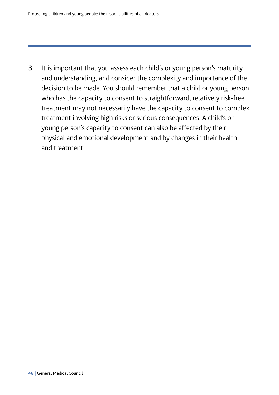**3** It is important that you assess each child's or young person's maturity and understanding, and consider the complexity and importance of the decision to be made. You should remember that a child or young person who has the capacity to consent to straightforward, relatively risk-free treatment may not necessarily have the capacity to consent to complex treatment involving high risks or serious consequences. A child's or young person's capacity to consent can also be affected by their physical and emotional development and by changes in their health and treatment.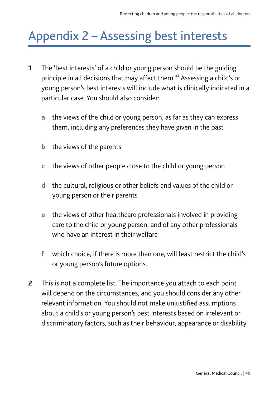### Appendix 2 – Assessing best interests

- **1** The 'best interests' of a child or young person should be the guiding principle in all decisions that may affect them.<sup>44</sup> Assessing a child's or young person's best interests will include what is clinically indicated in a particular case. You should also consider:
	- **a** the views of the child or young person, as far as they can express them, including any preferences they have given in the past
	- **b** the views of the parents
	- **c** the views of other people close to the child or young person
	- **d** the cultural, religious or other beliefs and values of the child or young person or their parents
	- **e** the views of other healthcare professionals involved in providing care to the child or young person, and of any other professionals who have an interest in their welfare
	- **f** which choice, if there is more than one, will least restrict the child's or young person's future options.
- **2** This is not a complete list. The importance you attach to each point will depend on the circumstances, and you should consider any other relevant information. You should not make unjustified assumptions about a child's or young person's best interests based on irrelevant or discriminatory factors, such as their behaviour, appearance or disability.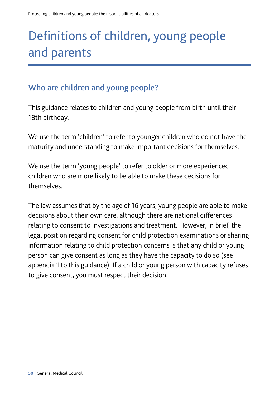# Definitions of children, young people and parents

#### Who are children and young people?

This guidance relates to children and young people from birth until their 18th birthday.

We use the term 'children' to refer to younger children who do not have the maturity and understanding to make important decisions for themselves.

We use the term 'young people' to refer to older or more experienced children who are more likely to be able to make these decisions for themselves.

The law assumes that by the age of 16 years, young people are able to make decisions about their own care, although there are national differences relating to consent to investigations and treatment. However, in brief, the legal position regarding consent for child protection examinations or sharing information relating to child protection concerns is that any child or young person can give consent as long as they have the capacity to do so (see appendix 1 to this guidance). If a child or young person with capacity refuses to give consent, you must respect their decision.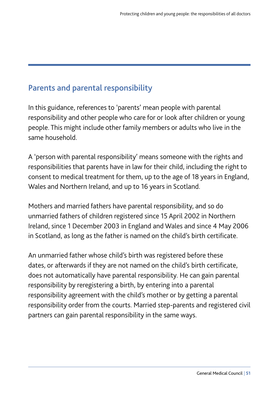#### Parents and parental responsibility

In this guidance, references to 'parents' mean people with parental responsibility and other people who care for or look after children or young people. This might include other family members or adults who live in the same household.

A 'person with parental responsibility' means someone with the rights and responsibilities that parents have in law for their child, including the right to consent to medical treatment for them, up to the age of 18 years in England, Wales and Northern Ireland, and up to 16 years in Scotland.

Mothers and married fathers have parental responsibility, and so do unmarried fathers of children registered since 15 April 2002 in Northern Ireland, since 1 December 2003 in England and Wales and since 4 May 2006 in Scotland, as long as the father is named on the child's birth certificate.

An unmarried father whose child's birth was registered before these dates, or afterwards if they are not named on the child's birth certificate, does not automatically have parental responsibility. He can gain parental responsibility by reregistering a birth, by entering into a parental responsibility agreement with the child's mother or by getting a parental responsibility order from the courts. Married step-parents and registered civil partners can gain parental responsibility in the same ways.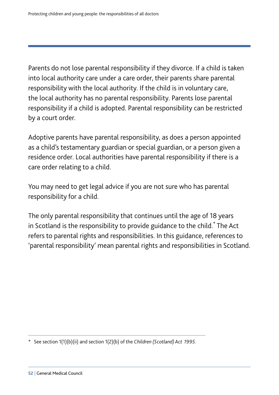Parents do not lose parental responsibility if they divorce. If a child is taken into local authority care under a care order, their parents share parental responsibility with the local authority. If the child is in voluntary care, the local authority has no parental responsibility. Parents lose parental responsibility if a child is adopted. Parental responsibility can be restricted by a court order.

Adoptive parents have parental responsibility, as does a person appointed as a child's testamentary guardian or special guardian, or a person given a residence order. Local authorities have parental responsibility if there is a care order relating to a child.

You may need to get legal advice if you are not sure who has parental responsibility for a child.

The only parental responsibility that continues until the age of 18 years in Scotland is the responsibility to provide guidance to the child.\* The Act refers to parental rights and responsibilities. In this guidance, references to 'parental responsibility' mean parental rights and responsibilities in Scotland.

<sup>\*</sup> See section 1(1)(b)(ii) and section 1(2)(b) of the *Children (Scotland) Act 1995.*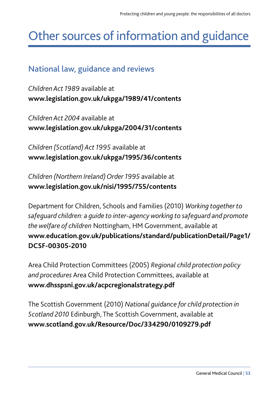# Other sources of information and guidance

#### National law, guidance and reviews

*Children Act 1989* available at **www.legislation.gov.uk/ukpga/1989/41/contents**

*Children Act 2004* available at **www.legislation.gov.uk/ukpga/2004/31/contents** 

*Children (Scotland) Act 1995* available at **www.legislation.gov.uk/ukpga/1995/36/contents** 

*Children (Northern Ireland) Order 1995* available at **www.legislation.gov.uk/nisi/1995/755/contents**

Department for Children, Schools and Families (2010) *Working together to safeguard children: a guide to inter-agency working to safeguard and promote the welfare of children* Nottingham, HM Government, available at **www.education.gov.uk/publications/standard/publicationDetail/Page1/ DCSF-00305-2010**

Area Child Protection Committees (2005) *Regional child protection policy and procedures* Area Child Protection Committees, available at **www.dhsspsni.gov.uk/acpcregionalstrategy.pdf**

The Scottish Government (2010) *National guidance for child protection in Scotland 2010* Edinburgh, The Scottish Government, available at **www.scotland.gov.uk/Resource/Doc/334290/0109279.pdf**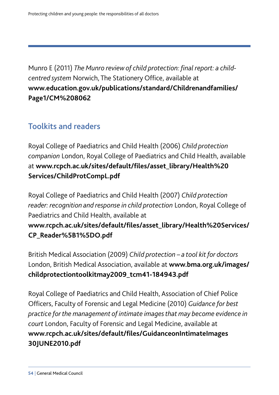Munro E (2011) *The Munro review of child protection: final report: a childcentred system* Norwich, The Stationery Office, available at **www.education.gov.uk/publications/standard/Childrenandfamilies/ Page1/CM%208062**

#### Toolkits and readers

Royal College of Paediatrics and Child Health (2006) *Child protection companion* London, Royal College of Paediatrics and Child Health, available at **www.rcpch.ac.uk/sites/default/files/asset\_library/Health%20 Services/ChildProtCompL.pdf**

Royal College of Paediatrics and Child Health (2007) *Child protection reader: recognition and response in child protection* London, Royal College of Paediatrics and Child Health, available at **www.rcpch.ac.uk/sites/default/files/asset\_library/Health%20Services/ CP\_Reader%5B1%5DO.pdf**

British Medical Association (2009) *Child protection – a tool kit for doctors*  London, British Medical Association, available at **www.bma.org.uk/images/ childprotectiontoolkitmay2009\_tcm41-184943.pdf**

Royal College of Paediatrics and Child Health, Association of Chief Police Officers, Faculty of Forensic and Legal Medicine (2010) *Guidance for best practice for the management of intimate images that may become evidence in court* London, Faculty of Forensic and Legal Medicine, available at **www.rcpch.ac.uk/sites/default/files/GuidanceonIntimateImages 30JUNE2010.pdf**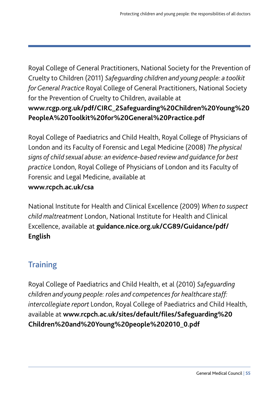Royal College of General Practitioners, National Society for the Prevention of Cruelty to Children (2011) *Safeguarding children and young people: a toolkit for General Practice* Royal College of General Practitioners, National Society for the Prevention of Cruelty to Children, available at **www.rcgp.org.uk/pdf/CIRC\_2Safeguarding%20Children%20Young%20 PeopleA%20Toolkit%20for%20General%20Practice.pdf**

Royal College of Paediatrics and Child Health, Royal College of Physicians of London and its Faculty of Forensic and Legal Medicine (2008) *The physical signs of child sexual abuse: an evidence-based review and guidance for best practice* London, Royal College of Physicians of London and its Faculty of Forensic and Legal Medicine, available at **www.rcpch.ac.uk/csa**

National Institute for Health and Clinical Excellence (2009) *When to suspect child maltreatment* London, National Institute for Health and Clinical Excellence, available at **guidance.nice.org.uk/CG89/Guidance/pdf/ English**

#### **Training**

Royal College of Paediatrics and Child Health, et al (2010) *Safeguarding children and young people: roles and competences for healthcare staff: intercollegiate report* London, Royal College of Paediatrics and Child Health, available at **www.rcpch.ac.uk/sites/default/files/Safeguarding%20 Children%20and%20Young%20people%202010\_0.pdf**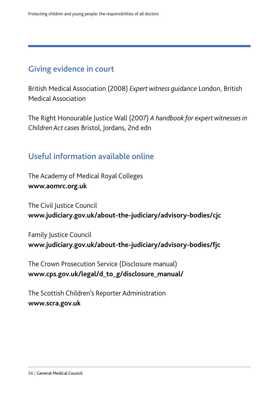#### Giving evidence in court

British Medical Association (2008) *Expert witness guidance* London, British Medical Association

The Right Honourable Justice Wall (2007) *A handbook for expert witnesses in Children Act cases* Bristol, Jordans, 2nd edn

#### Useful information available online

The Academy of Medical Royal Colleges **www.aomrc.org.uk**

The Civil Justice Council **www.judiciary.gov.uk/about-the-judiciary/advisory-bodies/cjc**

Family Justice Council **www.judiciary.gov.uk/about-the-judiciary/advisory-bodies/fjc** 

The Crown Prosecution Service (Disclosure manual) **www.cps.gov.uk/legal/d\_to\_g/disclosure\_manual/**

The Scottish Children's Reporter Administration **www.scra.gov.uk**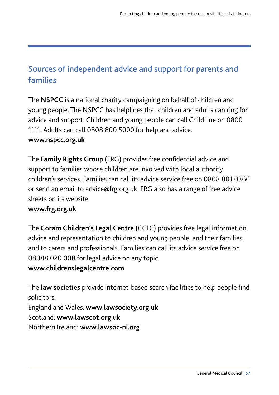#### Sources of independent advice and support for parents and families

The **NSPCC** is a national charity campaigning on behalf of children and young people. The NSPCC has helplines that children and adults can ring for advice and support. Children and young people can call ChildLine on 0800 1111. Adults can call 0808 800 5000 for help and advice. **www.nspcc.org.uk**

The **Family Rights Group** (FRG) provides free confidential advice and support to families whose children are involved with local authority children's services. Families can call its advice service free on 0808 801 0366 or send an email to advice@frg.org.uk. FRG also has a range of free advice sheets on its website.

#### **www.frg.org.uk**

The **Coram Children's Legal Centre** (CCLC) provides free legal information, advice and representation to children and young people, and their families, and to carers and professionals. Families can call its advice service free on 08088 020 008 for legal advice on any topic.

#### **www.childrenslegalcentre.com**

The **law societies** provide internet-based search facilities to help people find solicitors.

England and Wales: **www.lawsociety.org.uk**

Scotland: **www.lawscot.org.uk**

Northern Ireland: **www.lawsoc-ni.org**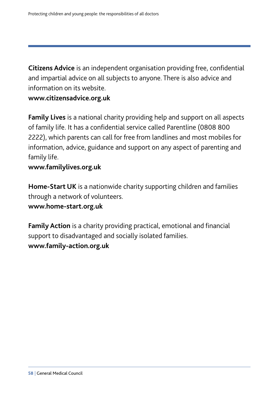**Citizens Advice** is an independent organisation providing free, confidential and impartial advice on all subjects to anyone. There is also advice and information on its website.

#### **www.citizensadvice.org.uk**

**Family Lives** is a national charity providing help and support on all aspects of family life. It has a confidential service called Parentline (0808 800 2222), which parents can call for free from landlines and most mobiles for information, advice, guidance and support on any aspect of parenting and family life.

#### **www.familylives.org.uk**

**Home-Start UK** is a nationwide charity supporting children and families through a network of volunteers.

**www.home-start.org.uk** 

**Family Action** is a charity providing practical, emotional and financial support to disadvantaged and socially isolated families. **www.family-action.org.uk**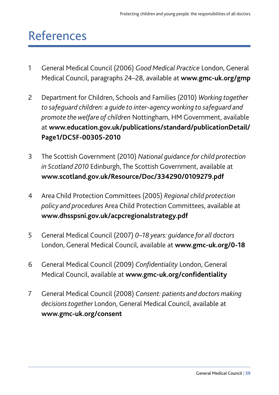### References

- 1 General Medical Council (2006) *Good Medical Practice* London, General Medical Council, paragraphs 24–28, available at **www.gmc-uk.org/gmp**
- 2 Department for Children, Schools and Families (2010) *Working together to safeguard children: a guide to inter-agency working to safeguard and promote the welfare of children* Nottingham, HM Government, available at **www.education.gov.uk/publications/standard/publicationDetail/ Page1/DCSF-00305-2010**
- 3 The Scottish Government (2010) *National guidance for child protection in Scotland 2010* Edinburgh, The Scottish Government, available at **www.scotland.gov.uk/Resource/Doc/334290/0109279.pdf**
- 4 Area Child Protection Committees (2005) *Regional child protection policy and procedures* Area Child Protection Committees, available at **www.dhsspsni.gov.uk/acpcregionalstrategy.pdf**
- 5 General Medical Council (2007) *0–18 years: guidance for all doctors* London, General Medical Council, available at **www.gmc-uk.org/0-18**
- 6 General Medical Council (2009) *Confidentiality* London, General Medical Council, available at **www.gmc-uk.org/confidentiality**
- 7 General Medical Council (2008) *Consent: patients and doctors making decisions together* London, General Medical Council, available at **www.gmc-uk.org/consent**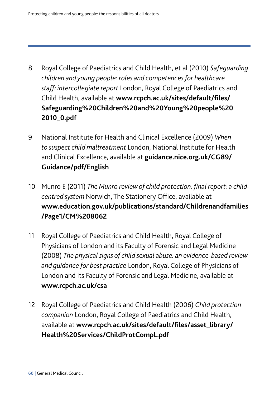- 8 Royal College of Paediatrics and Child Health, et al (2010) *Safeguarding children and young people: roles and competences for healthcare staff: intercollegiate report* London, Royal College of Paediatrics and Child Health, available at **www.rcpch.ac.uk/sites/default/files/ Safeguarding%20Children%20and%20Young%20people%20 2010\_0.pdf**
- 9 National Institute for Health and Clinical Excellence (2009) *When to suspect child maltreatment* London, National Institute for Health and Clinical Excellence, available at **guidance.nice.org.uk/CG89/ Guidance/pdf/English**
- 10 Munro E (2011) *The Munro review of child protection: final report: a childcentred system* Norwich, The Stationery Office, available at **www.education.gov.uk/publications/standard/Childrenandfamilies /Page1/CM%208062**
- 11 Royal College of Paediatrics and Child Health, Royal College of Physicians of London and its Faculty of Forensic and Legal Medicine (2008) *The physical signs of child sexual abuse: an evidence-based review and guidance for best practice* London, Royal College of Physicians of London and its Faculty of Forensic and Legal Medicine, available at **www.rcpch.ac.uk/csa**
- 12 Royal College of Paediatrics and Child Health (2006) *Child protection companion* London, Royal College of Paediatrics and Child Health, available at **www.rcpch.ac.uk/sites/default/files/asset\_library/ Health%20Services/ChildProtCompL.pdf**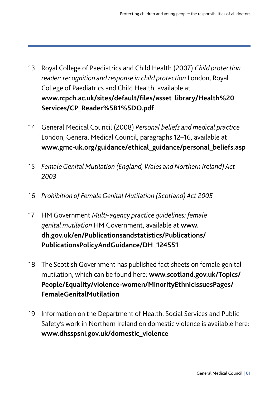- 13 Royal College of Paediatrics and Child Health (2007) *Child protection reader: recognition and response in child protection* London, Royal College of Paediatrics and Child Health, available at **www.rcpch.ac.uk/sites/default/files/asset\_library/Health%20 Services/CP\_Reader%5B1%5DO.pdf**
- 14 General Medical Council (2008) *Personal beliefs and medical practice* London, General Medical Council, paragraphs 12–16, available at **www.gmc-uk.org/guidance/ethical\_guidance/personal\_beliefs.asp**
- 15 *Female Genital Mutilation (England, Wales and Northern Ireland) Act 2003*
- 16 *Prohibition of Female Genital Mutilation (Scotland) Act 2005*
- 17 HM Government *Multi-agency practice guidelines: female genital mutilation* HM Government, available at **www. dh.gov.uk/en/Publicationsandstatistics/Publications/ PublicationsPolicyAndGuidance/DH\_124551**
- 18 The Scottish Government has published fact sheets on female genital mutilation, which can be found here: **www.scotland.gov.uk/Topics/ People/Equality/violence-women/MinorityEthnicIssuesPages/ FemaleGenitalMutilation**
- 19 Information on the Department of Health, Social Services and Public Safety's work in Northern Ireland on domestic violence is available here: **www.dhsspsni.gov.uk/domestic\_violence**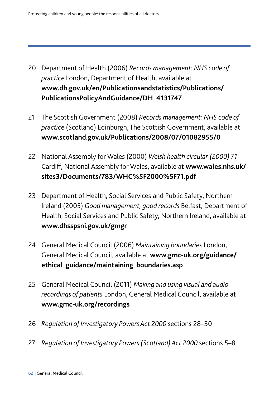- 20 Department of Health (2006) *Records management: NHS code of practice* London, Department of Health, available at **www.dh.gov.uk/en/Publicationsandstatistics/Publications/ PublicationsPolicyAndGuidance/DH\_4131747**
- 21 The Scottish Government (2008) *Records management: NHS code of practice* (Scotland) Edinburgh, The Scottish Government, available at **www.scotland.gov.uk/Publications/2008/07/01082955/0**
- 22 National Assembly for Wales (2000) *Welsh health circular (2000) 71* Cardiff, National Assembly for Wales, available at **www.wales.nhs.uk/ sites3/Documents/783/WHC%5F2000%5F71.pdf**
- 23 Department of Health, Social Services and Public Safety, Northern Ireland (2005) *Good management, good records* Belfast, Department of Health, Social Services and Public Safety, Northern Ireland, available at **www.dhsspsni.gov.uk/gmgr**
- 24 General Medical Council (2006) *Maintaining boundaries* London, General Medical Council, available at **www.gmc-uk.org/guidance/ ethical\_guidance/maintaining\_boundaries.asp**
- 25 General Medical Council (2011) *Making and using visual and audio recordings of patients* London, General Medical Council, available at **www.gmc-uk.org/recordings**
- 26 *Regulation of Investigatory Powers Act 2000* sections 28–30
- 27 *Regulation of Investigatory Powers (Scotland) Act 2000* sections 5–8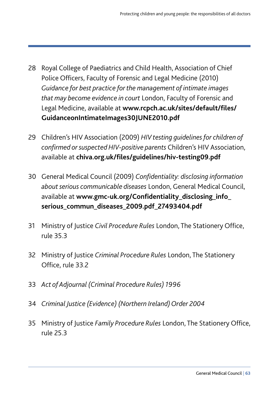- 28 Royal College of Paediatrics and Child Health, Association of Chief Police Officers, Faculty of Forensic and Legal Medicine (2010) *Guidance for best practice for the management of intimate images that may become evidence in court* London, Faculty of Forensic and Legal Medicine, available at **www.rcpch.ac.uk/sites/default/files/ GuidanceonIntimateImages30JUNE2010.pdf**
- 29 Children's HIV Association (2009) *HIV testing guidelines for children of confirmed or suspected HIV-positive parents* Children's HIV Association, available at **chiva.org.uk/files/guidelines/hiv-testing09.pdf**
- 30 General Medical Council (2009) *Confidentiality: disclosing information about serious communicable diseases* London, General Medical Council, available at **www.gmc-uk.org/Confidentiality\_disclosing\_info\_ serious\_commun\_diseases\_2009.pdf\_27493404.pdf**
- 31 Ministry of Justice *Civil Procedure Rules* London, The Stationery Office, rule 35.3
- 32 Ministry of Justice *Criminal Procedure Rules* London, The Stationery Office, rule 33.2
- 33 *Act of Adjournal (Criminal Procedure Rules) 1996*
- 34 *Criminal Justice (Evidence) (Northern Ireland) Order 2004*
- 35 Ministry of Justice *Family Procedure Rules* London, The Stationery Office, rule 25.3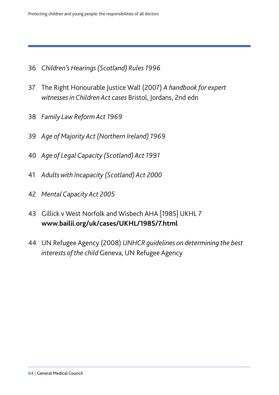- *Children's Hearings (Scotland) Rules 1996*
- The Right Honourable Justice Wall (2007) *A handbook for expert witnesses in Children Act cases* Bristol, Jordans, 2nd edn
- *Family Law Reform Act 1969*
- *Age of Majority Act (Northern Ireland) 1969*
- *Age of Legal Capacity (Scotland) Act 1991*
- *Adults with Incapacity (Scotland) Act 2000*
- *Mental Capacity Act 2005*
- Gillick v West Norfolk and Wisbech AHA [1985] UKHL 7 **www.bailii.org/uk/cases/UKHL/1985/7.html**
- UN Refugee Agency (2008) *UNHCR guidelines on determining the best interests of the child* Geneva, UN Refugee Agency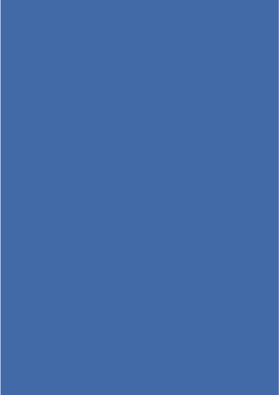